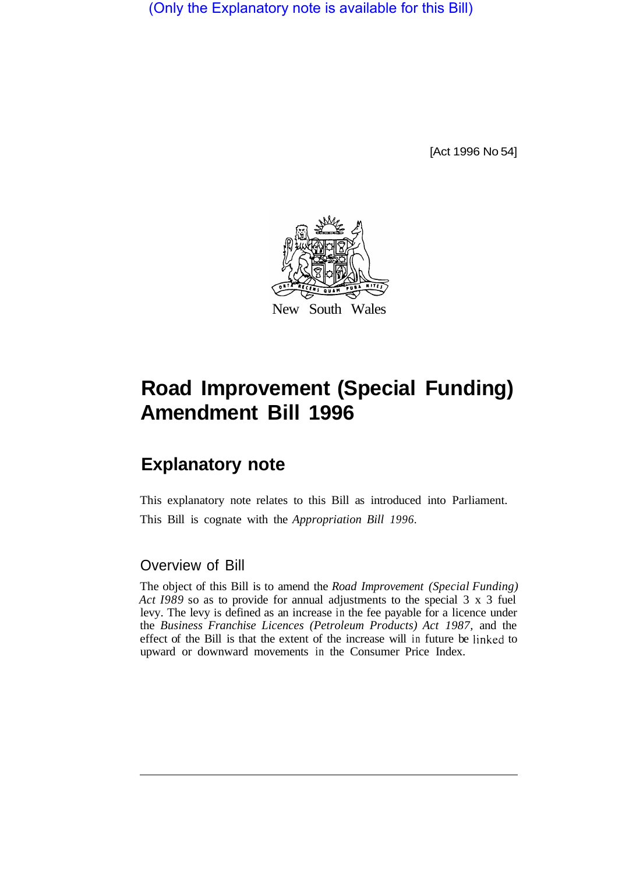(Only the Explanatory note is available for this Bill)

[Act 1996 No 54]



## **Road Improvement (Special Funding) Amendment Bill 1996**

## **Explanatory note**

This explanatory note relates to this Bill as introduced into Parliament. This Bill is cognate with the *Appropriation Bill 1996.* 

## Overview of Bill

The object of this Bill is to amend the *Road Improvement (Special Funding) Act I989* so as to provide for annual adjustments to the special 3 x 3 fuel levy. The levy is defined as an increase in the fee payable for a licence under the *Business Franchise Licences (Petroleum Products) Act 1987,* and the effect of the Bill is that the extent of the increase will in future be linked to upward or downward movements in the Consumer Price Index.